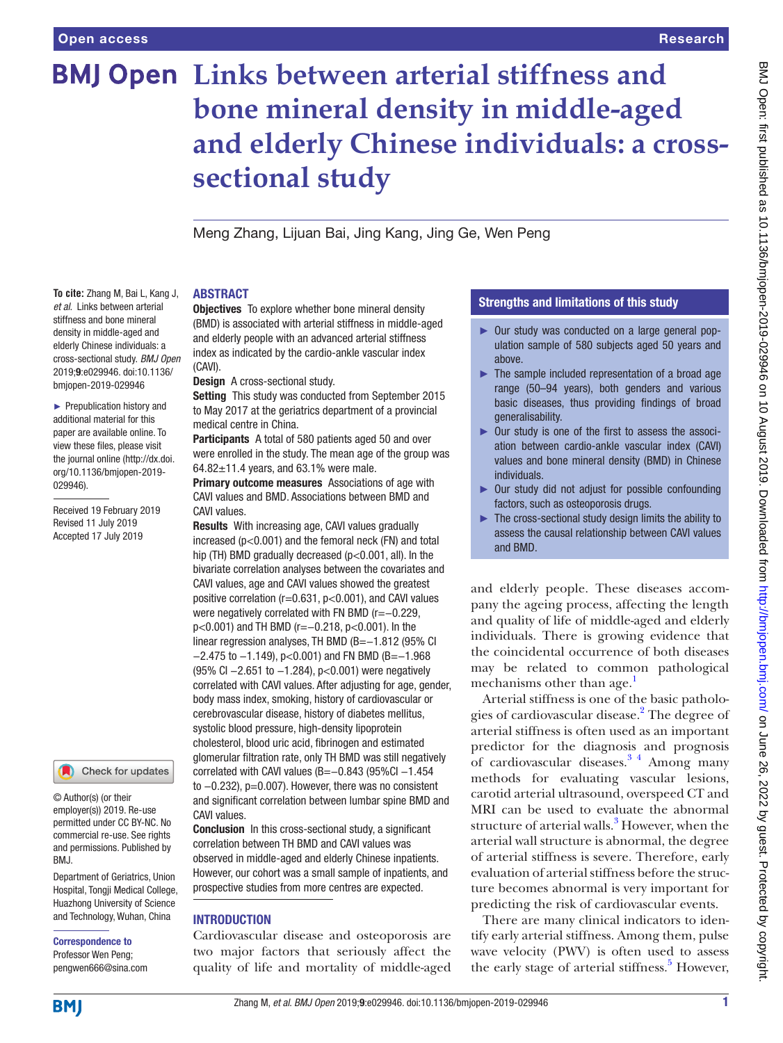# **BMJ Open Links between arterial stiffness and bone mineral density in middle-aged and elderly Chinese individuals: a crosssectional study**

Meng Zhang, Lijuan Bai, Jing Kang, Jing Ge, Wen Peng

#### **ABSTRACT**

**To cite:** Zhang M, Bai L, Kang J, *et al*. Links between arterial stiffness and bone mineral density in middle-aged and elderly Chinese individuals: a cross-sectional study. *BMJ Open* 2019;9:e029946. doi:10.1136/ bmjopen-2019-029946

► Prepublication history and additional material for this paper are available online. To view these files, please visit the journal online (http://dx.doi. org/10.1136/bmjopen-2019- 029946).

Received 19 February 2019 Revised 11 July 2019 Accepted 17 July 2019

#### Check for updates

© Author(s) (or their employer(s)) 2019. Re-use permitted under CC BY-NC. No commercial re-use. See rights and permissions. Published by RM<sub>J</sub>

Department of Geriatrics, Union Hospital, Tongji Medical College, Huazhong University of Science and Technology, Wuhan, China

Correspondence to Professor Wen Peng; pengwen666@sina.com

**Objectives** To explore whether bone mineral density (BMD) is associated with arterial stiffness in middle-aged and elderly people with an advanced arterial stiffness index as indicated by the cardio-ankle vascular index (CAVI).

Design A cross-sectional study.

Setting This study was conducted from September 2015 to May 2017 at the geriatrics department of a provincial medical centre in China.

Participants A total of 580 patients aged 50 and over were enrolled in the study. The mean age of the group was 64.82±11.4 years, and 63.1% were male.

**Primary outcome measures** Associations of age with CAVI values and BMD. Associations between BMD and CAVI values.

Results With increasing age, CAVI values gradually increased (p<0.001) and the femoral neck (FN) and total hip (TH) BMD gradually decreased (p<0.001, all). In the bivariate correlation analyses between the covariates and CAVI values, age and CAVI values showed the greatest positive correlation (r=0.631, p<0.001), and CAVI values were negatively correlated with FN BMD (r=-0.229, p<0.001) and TH BMD (r=-0.218, p<0.001). In the linear regression analyses, TH BMD (B=−1.812 (95% CI −2.475 to −1.149), p<0.001) and FN BMD (B=−1.968 (95% CI −2.651 to −1.284), p<0.001) were negatively correlated with CAVI values. After adjusting for age, gender, body mass index, smoking, history of cardiovascular or cerebrovascular disease, history of diabetes mellitus, systolic blood pressure, high-density lipoprotein cholesterol, blood uric acid, fibrinogen and estimated glomerular filtration rate, only TH BMD was still negatively correlated with CAVI values (B=−0.843 (95%CI −1.454 to −0.232), p=0.007). However, there was no consistent and significant correlation between lumbar spine BMD and CAVI values.

Conclusion In this cross-sectional study, a significant correlation between TH BMD and CAVI values was observed in middle-aged and elderly Chinese inpatients. However, our cohort was a small sample of inpatients, and prospective studies from more centres are expected.

#### **INTRODUCTION**

Cardiovascular disease and osteoporosis are two major factors that seriously affect the quality of life and mortality of middle-aged

# Strengths and limitations of this study

- ► Our study was conducted on a large general population sample of 580 subjects aged 50 years and above.
- ► The sample included representation of a broad age range (50–94 years), both genders and various basic diseases, thus providing findings of broad generalisability.
- ► Our study is one of the first to assess the association between cardio-ankle vascular index (CAVI) values and bone mineral density (BMD) in Chinese individuals.
- ► Our study did not adjust for possible confounding factors, such as osteoporosis drugs.
- ► The cross-sectional study design limits the ability to assess the causal relationship between CAVI values and BMD.

and elderly people. These diseases accompany the ageing process, affecting the length and quality of life of middle-aged and elderly individuals. There is growing evidence that the coincidental occurrence of both diseases may be related to common pathological mechanisms other than age.<sup>1</sup>

Arterial stiffness is one of the basic pathologies of cardiovascular disease.<sup>2</sup> The degree of arterial stiffness is often used as an important predictor for the diagnosis and prognosis of cardiovascular diseases. $3 \times 4$  Among many methods for evaluating vascular lesions, carotid arterial ultrasound, overspeed CT and MRI can be used to evaluate the abnormal structure of arterial walls.<sup>3</sup> However, when the arterial wall structure is abnormal, the degree of arterial stiffness is severe. Therefore, early evaluation of arterial stiffness before the structure becomes abnormal is very important for predicting the risk of cardiovascular events.

There are many clinical indicators to identify early arterial stiffness. Among them, pulse wave velocity (PWV) is often used to assess the early stage of arterial stiffness.<sup>[5](#page-6-3)</sup> However,

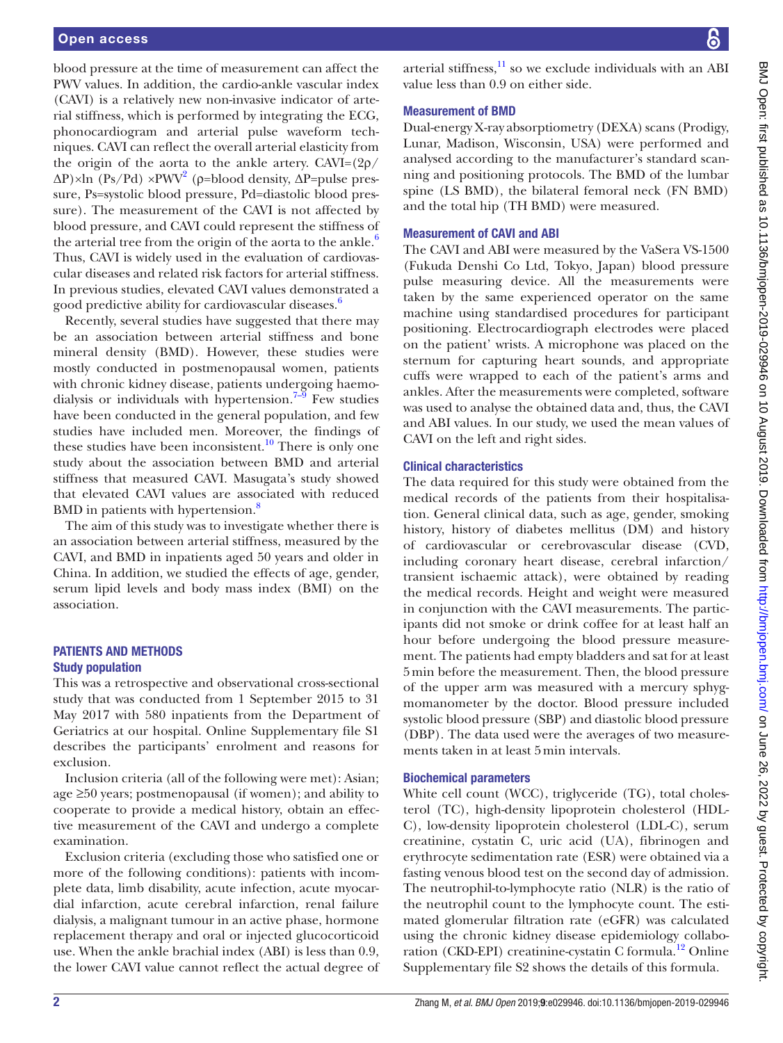blood pressure at the time of measurement can affect the PWV values. In addition, the cardio-ankle vascular index (CAVI) is a relatively new non-invasive indicator of arterial stiffness, which is performed by integrating the ECG, phonocardiogram and arterial pulse waveform techniques. CAVI can reflect the overall arterial elasticity from the origin of the aorta to the ankle artery.  $CAVI = (2\rho/$  $\Delta P$   $\times$  PMV<sup>2</sup> ( $\rho$ =blood density,  $\Delta P$ =pulse pressure, Ps=systolic blood pressure, Pd=diastolic blood pressure). The measurement of the CAVI is not affected by blood pressure, and CAVI could represent the stiffness of the arterial tree from the origin of the aorta to the ankle.<sup>[6](#page-7-0)</sup> Thus, CAVI is widely used in the evaluation of cardiovascular diseases and related risk factors for arterial stiffness. In previous studies, elevated CAVI values demonstrated a good predictive ability for cardiovascular diseases.<sup>[6](#page-7-0)</sup>

Recently, several studies have suggested that there may be an association between arterial stiffness and bone mineral density (BMD). However, these studies were mostly conducted in postmenopausal women, patients with chronic kidney disease, patients undergoing haemodialysis or individuals with hypertension.<sup>7–9</sup> Few studies have been conducted in the general population, and few studies have included men. Moreover, the findings of these studies have been inconsistent.<sup>10</sup> There is only one study about the association between BMD and arterial stiffness that measured CAVI. Masugata's study showed that elevated CAVI values are associated with reduced BMD in patients with hypertension.<sup>[8](#page-7-3)</sup>

The aim of this study was to investigate whether there is an association between arterial stiffness, measured by the CAVI, and BMD in inpatients aged 50 years and older in China. In addition, we studied the effects of age, gender, serum lipid levels and body mass index (BMI) on the association.

## Patients and methods Study population

This was a retrospective and observational cross-sectional study that was conducted from 1 September 2015 to 31 May 2017 with 580 inpatients from the Department of Geriatrics at our hospital. Online [Supplementary file S1](https://dx.doi.org/10.1136/bmjopen-2019-029946) describes the participants' enrolment and reasons for exclusion.

Inclusion criteria (all of the following were met): Asian; age ≥50 years; postmenopausal (if women); and ability to cooperate to provide a medical history, obtain an effective measurement of the CAVI and undergo a complete examination.

Exclusion criteria (excluding those who satisfied one or more of the following conditions): patients with incomplete data, limb disability, acute infection, acute myocardial infarction, acute cerebral infarction, renal failure dialysis, a malignant tumour in an active phase, hormone replacement therapy and oral or injected glucocorticoid use. When the ankle brachial index (ABI) is less than 0.9, the lower CAVI value cannot reflect the actual degree of arterial stiffness, $\frac{11}{1}$  so we exclude individuals with an ABI value less than 0.9 on either side.

## Measurement of BMD

Dual-energy X-ray absorptiometry (DEXA) scans (Prodigy, Lunar, Madison, Wisconsin, USA) were performed and analysed according to the manufacturer's standard scanning and positioning protocols. The BMD of the lumbar spine (LS BMD), the bilateral femoral neck (FN BMD) and the total hip (TH BMD) were measured.

## Measurement of CAVI and ABI

The CAVI and ABI were measured by the VaSera VS-1500 (Fukuda Denshi Co Ltd, Tokyo, Japan) blood pressure pulse measuring device. All the measurements were taken by the same experienced operator on the same machine using standardised procedures for participant positioning. Electrocardiograph electrodes were placed on the patient' wrists. A microphone was placed on the sternum for capturing heart sounds, and appropriate cuffs were wrapped to each of the patient's arms and ankles. After the measurements were completed, software was used to analyse the obtained data and, thus, the CAVI and ABI values. In our study, we used the mean values of CAVI on the left and right sides.

## Clinical characteristics

The data required for this study were obtained from the medical records of the patients from their hospitalisation. General clinical data, such as age, gender, smoking history, history of diabetes mellitus (DM) and history of cardiovascular or cerebrovascular disease (CVD, including coronary heart disease, cerebral infarction/ transient ischaemic attack), were obtained by reading the medical records. Height and weight were measured in conjunction with the CAVI measurements. The participants did not smoke or drink coffee for at least half an hour before undergoing the blood pressure measurement. The patients had empty bladders and sat for at least 5min before the measurement. Then, the blood pressure of the upper arm was measured with a mercury sphygmomanometer by the doctor. Blood pressure included systolic blood pressure (SBP) and diastolic blood pressure (DBP). The data used were the averages of two measurements taken in at least 5min intervals.

## Biochemical parameters

White cell count (WCC), triglyceride (TG), total cholesterol (TC), high-density lipoprotein cholesterol (HDL-C), low-density lipoprotein cholesterol (LDL-C), serum creatinine, cystatin C, uric acid (UA), fibrinogen and erythrocyte sedimentation rate (ESR) were obtained via a fasting venous blood test on the second day of admission. The neutrophil-to-lymphocyte ratio (NLR) is the ratio of the neutrophil count to the lymphocyte count. The estimated glomerular filtration rate (eGFR) was calculated using the chronic kidney disease epidemiology collaboration (CKD-EPI) creatinine-cystatin C formula.<sup>12</sup> Online [Supplementary file S2](https://dx.doi.org/10.1136/bmjopen-2019-029946) shows the details of this formula.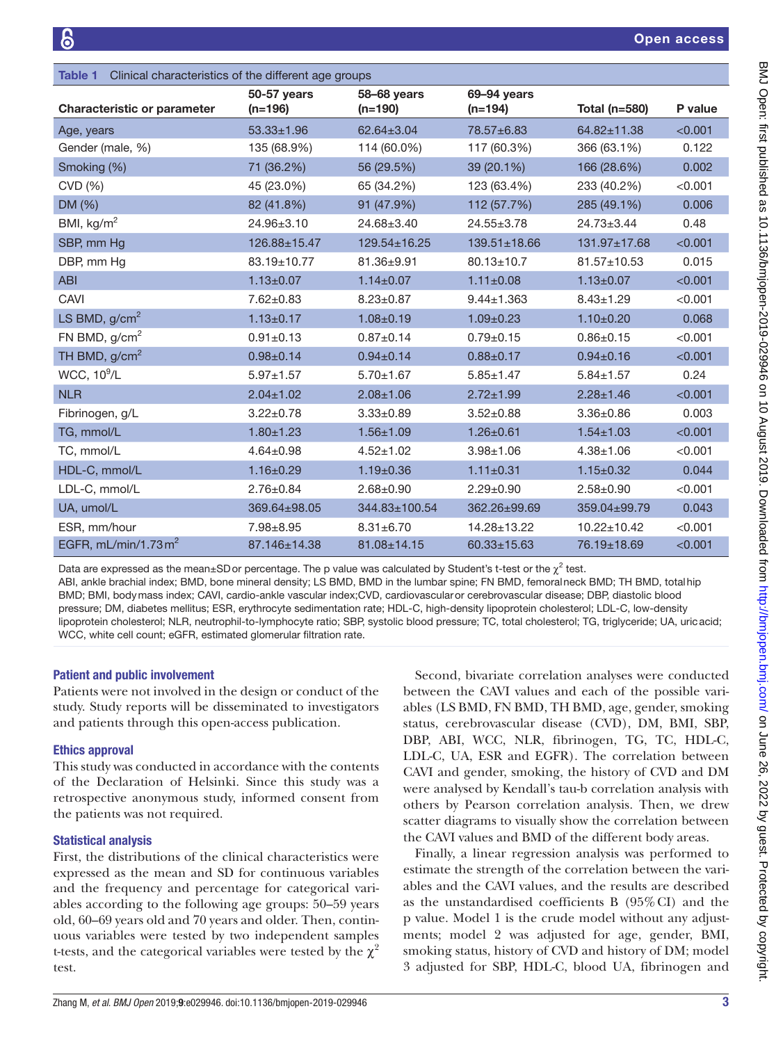<span id="page-2-0"></span>

| Clinical characteristics of the different age groups<br>Table 1 |                          |                          |                          |                   |         |  |  |
|-----------------------------------------------------------------|--------------------------|--------------------------|--------------------------|-------------------|---------|--|--|
| <b>Characteristic or parameter</b>                              | 50-57 years<br>$(n=196)$ | 58-68 years<br>$(n=190)$ | 69-94 vears<br>$(n=194)$ | Total (n=580)     | P value |  |  |
| Age, years                                                      | $53.33 \pm 1.96$         | 62.64±3.04               | 78.57±6.83               | 64.82±11.38       | < 0.001 |  |  |
| Gender (male, %)                                                | 135 (68.9%)              | 114 (60.0%)              | 117 (60.3%)              | 366 (63.1%)       | 0.122   |  |  |
| Smoking (%)                                                     | 71 (36.2%)               | 56 (29.5%)               | 39 (20.1%)               | 166 (28.6%)       | 0.002   |  |  |
| CVD (%)                                                         | 45 (23.0%)               | 65 (34.2%)               | 123 (63.4%)              | 233 (40.2%)       | < 0.001 |  |  |
| DM (%)                                                          | 82 (41.8%)               | 91 (47.9%)               | 112 (57.7%)              | 285 (49.1%)       | 0.006   |  |  |
| BMI, $kg/m2$                                                    | 24.96±3.10               | 24.68±3.40               | 24.55±3.78               | $24.73 \pm 3.44$  | 0.48    |  |  |
| SBP, mm Hg                                                      | 126.88±15.47             | $129.54 \pm 16.25$       | $139.51 \pm 18.66$       | 131.97±17.68      | < 0.001 |  |  |
| DBP, mm Hg                                                      | 83.19±10.77              | 81.36±9.91               | $80.13 \pm 10.7$         | 81.57±10.53       | 0.015   |  |  |
| <b>ABI</b>                                                      | $1.13 \pm 0.07$          | $1.14 \pm 0.07$          | $1.11 \pm 0.08$          | $1.13 \pm 0.07$   | < 0.001 |  |  |
| CAVI                                                            | $7.62 \pm 0.83$          | $8.23 \pm 0.87$          | $9.44 \pm 1.363$         | $8.43 \pm 1.29$   | < 0.001 |  |  |
| LS BMD, $g/cm2$                                                 | $1.13 \pm 0.17$          | $1.08 \pm 0.19$          | $1.09 \pm 0.23$          | $1.10 \pm 0.20$   | 0.068   |  |  |
| FN BMD, $g/cm2$                                                 | $0.91 \pm 0.13$          | $0.87 + 0.14$            | $0.79 \pm 0.15$          | $0.86 \pm 0.15$   | < 0.001 |  |  |
| TH BMD, $g/cm2$                                                 | $0.98 \pm 0.14$          | $0.94 \pm 0.14$          | $0.88 \pm 0.17$          | $0.94 \pm 0.16$   | < 0.001 |  |  |
| WCC, $10^9/L$                                                   | $5.97 \pm 1.57$          | $5.70 \pm 1.67$          | $5.85 \pm 1.47$          | $5.84 \pm 1.57$   | 0.24    |  |  |
| <b>NLR</b>                                                      | $2.04 \pm 1.02$          | $2.08 \pm 1.06$          | $2.72 \pm 1.99$          | $2.28 \pm 1.46$   | < 0.001 |  |  |
| Fibrinogen, g/L                                                 | $3.22 \pm 0.78$          | $3.33 \pm 0.89$          | $3.52 \pm 0.88$          | $3.36 \pm 0.86$   | 0.003   |  |  |
| TG, mmol/L                                                      | $1.80 \pm 1.23$          | $1.56 \pm 1.09$          | $1.26 \pm 0.61$          | $1.54 \pm 1.03$   | < 0.001 |  |  |
| TC, mmol/L                                                      | $4.64 \pm 0.98$          | $4.52 \pm 1.02$          | $3.98 + 1.06$            | $4.38 \pm 1.06$   | < 0.001 |  |  |
| HDL-C, mmol/L                                                   | $1.16 \pm 0.29$          | $1.19 \pm 0.36$          | $1.11 \pm 0.31$          | $1.15 \pm 0.32$   | 0.044   |  |  |
| LDL-C, mmol/L                                                   | $2.76 \pm 0.84$          | $2.68 \pm 0.90$          | $2.29 \pm 0.90$          | $2.58 + 0.90$     | < 0.001 |  |  |
| UA, umol/L                                                      | 369.64±98.05             | 344.83±100.54            | 362.26±99.69             | 359.04±99.79      | 0.043   |  |  |
| ESR, mm/hour                                                    | $7.98 + 8.95$            | $8.31 \pm 6.70$          | 14.28±13.22              | $10.22 \pm 10.42$ | < 0.001 |  |  |
| EGFR, $mL/min/1.73 m2$                                          | 87.146±14.38             | 81.08±14.15              | $60.33 \pm 15.63$        | 76.19±18.69       | < 0.001 |  |  |

Data are expressed as the mean±SD or percentage. The p value was calculated by Student's t-test or the  $\chi^2$  test.

ABI, ankle brachial index; BMD, bone mineral density; LS BMD, BMD in the lumbar spine; FN BMD, femoralneck BMD; TH BMD, totalhip BMD; BMI, bodymass index; CAVI, cardio-ankle vascular index;CVD, cardiovascularor cerebrovascular disease; DBP, diastolic blood pressure; DM, diabetes mellitus; ESR, erythrocyte sedimentation rate; HDL-C, high-density lipoprotein cholesterol; LDL-C, low-density lipoprotein cholesterol; NLR, neutrophil-to-lymphocyte ratio; SBP, systolic blood pressure; TC, total cholesterol; TG, triglyceride; UA, uricacid; WCC, white cell count; eGFR, estimated glomerular filtration rate.

#### Patient and public involvement

Patients were not involved in the design or conduct of the study. Study reports will be disseminated to investigators and patients through this open-access publication.

#### Ethics approval

This study was conducted in accordance with the contents of the Declaration of Helsinki. Since this study was a retrospective anonymous study, informed consent from the patients was not required.

#### Statistical analysis

First, the distributions of the clinical characteristics were expressed as the mean and SD for continuous variables and the frequency and percentage for categorical variables according to the following age groups: 50–59 years old, 60–69 years old and 70 years and older. Then, continuous variables were tested by two independent samples t-tests, and the categorical variables were tested by the  $\chi^2$ test.

Second, bivariate correlation analyses were conducted between the CAVI values and each of the possible variables (LS BMD, FN BMD, TH BMD, age, gender, smoking status, cerebrovascular disease (CVD), DM, BMI, SBP, DBP, ABI, WCC, NLR, fibrinogen, TG, TC, HDL-C, LDL-C, UA, ESR and EGFR). The correlation between CAVI and gender, smoking, the history of CVD and DM were analysed by Kendall's tau-b correlation analysis with others by Pearson correlation analysis. Then, we drew scatter diagrams to visually show the correlation between the CAVI values and BMD of the different body areas.

Finally, a linear regression analysis was performed to estimate the strength of the correlation between the variables and the CAVI values, and the results are described as the unstandardised coefficients B (95%CI) and the p value. Model 1 is the crude model without any adjustments; model 2 was adjusted for age, gender, BMI, smoking status, history of CVD and history of DM; model 3 adjusted for SBP, HDL-C, blood UA, fibrinogen and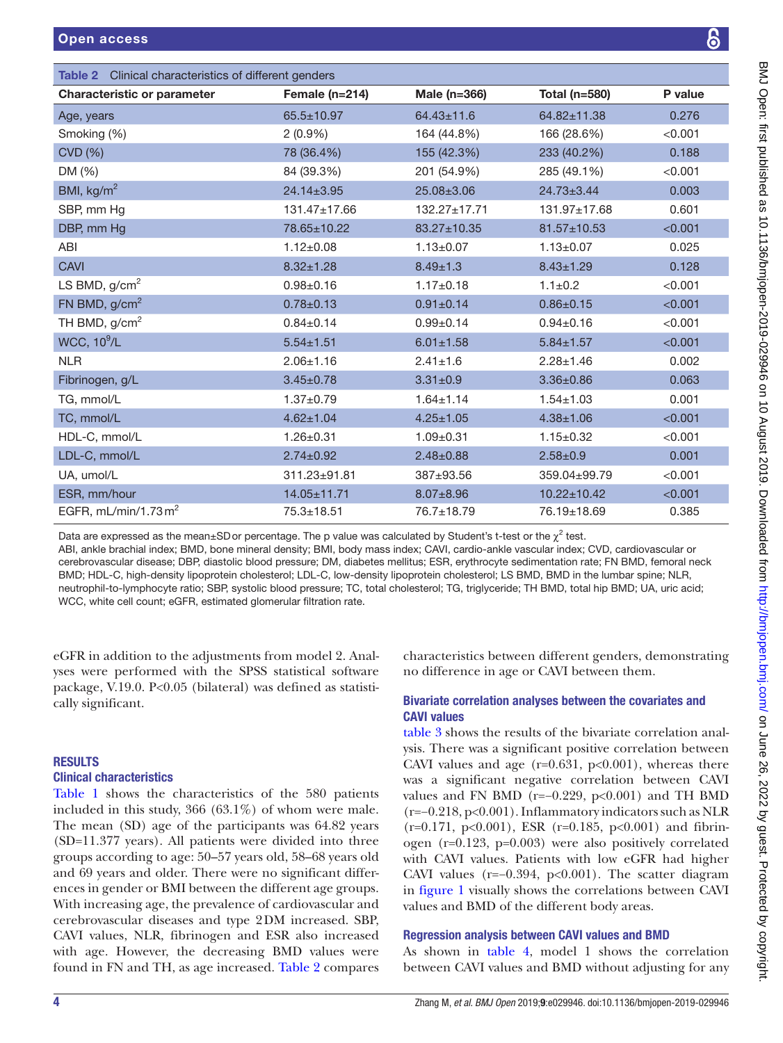|   | <b>2016 - 2017 - 2018 - 2018 - 2018 - 2018</b> |
|---|------------------------------------------------|
|   |                                                |
|   |                                                |
|   |                                                |
|   |                                                |
|   |                                                |
|   |                                                |
|   |                                                |
|   |                                                |
|   |                                                |
|   |                                                |
|   |                                                |
|   |                                                |
|   |                                                |
|   |                                                |
|   |                                                |
|   |                                                |
|   | $\frac{1}{2}$ . $\frac{1}{2}$ . $\frac{1}{2}$  |
|   |                                                |
|   |                                                |
|   |                                                |
|   |                                                |
|   |                                                |
|   |                                                |
|   |                                                |
|   |                                                |
|   |                                                |
|   |                                                |
|   |                                                |
|   |                                                |
|   |                                                |
|   |                                                |
|   |                                                |
|   |                                                |
|   |                                                |
|   |                                                |
|   |                                                |
|   |                                                |
|   |                                                |
|   |                                                |
|   |                                                |
|   |                                                |
|   | ,                                              |
|   |                                                |
|   |                                                |
|   |                                                |
|   |                                                |
|   |                                                |
|   |                                                |
|   |                                                |
|   | ・・・ととう・イン・フ・リクシニュク2?!                          |
|   |                                                |
|   |                                                |
|   |                                                |
|   |                                                |
|   |                                                |
|   |                                                |
|   |                                                |
|   |                                                |
|   |                                                |
|   |                                                |
|   | dolug//:                                       |
|   |                                                |
|   |                                                |
|   |                                                |
|   |                                                |
|   |                                                |
|   |                                                |
|   |                                                |
|   |                                                |
|   |                                                |
|   |                                                |
|   |                                                |
|   |                                                |
|   |                                                |
|   |                                                |
|   |                                                |
|   |                                                |
|   | $\frac{1}{1}$                                  |
|   |                                                |
|   |                                                |
|   |                                                |
|   |                                                |
|   |                                                |
| י |                                                |
|   | l                                              |
|   |                                                |
|   |                                                |
|   | ı                                              |
|   |                                                |
|   |                                                |
|   |                                                |
|   |                                                |
|   |                                                |
|   |                                                |
|   |                                                |
|   |                                                |
|   |                                                |
|   |                                                |
|   |                                                |
|   |                                                |
|   | ۱                                              |

<span id="page-3-0"></span>

| Table 2 Clinical characteristics of different genders                                                                        |                  |                    |                   |         |  |  |  |
|------------------------------------------------------------------------------------------------------------------------------|------------------|--------------------|-------------------|---------|--|--|--|
| <b>Characteristic or parameter</b>                                                                                           | Female $(n=214)$ | Male $(n=366)$     | Total (n=580)     | P value |  |  |  |
| Age, years                                                                                                                   | $65.5 \pm 10.97$ | $64.43 \pm 11.6$   | 64.82±11.38       | 0.276   |  |  |  |
| Smoking (%)                                                                                                                  | $2(0.9\%)$       | 164 (44.8%)        | 166 (28.6%)       | < 0.001 |  |  |  |
| CVD (%)                                                                                                                      | 78 (36.4%)       | 155 (42.3%)        | 233 (40.2%)       | 0.188   |  |  |  |
| DM (%)                                                                                                                       | 84 (39.3%)       | 201 (54.9%)        | 285 (49.1%)       | < 0.001 |  |  |  |
| BMI, kg/m <sup>2</sup>                                                                                                       | 24.14±3.95       | 25.08±3.06         | 24.73±3.44        | 0.003   |  |  |  |
| SBP, mm Hg                                                                                                                   | 131.47±17.66     | $132.27 \pm 17.71$ | 131.97±17.68      | 0.601   |  |  |  |
| DBP, mm Hg                                                                                                                   | 78.65±10.22      | 83.27±10.35        | $81.57 \pm 10.53$ | < 0.001 |  |  |  |
| <b>ABI</b>                                                                                                                   | $1.12 \pm 0.08$  | $1.13 \pm 0.07$    | $1.13 \pm 0.07$   | 0.025   |  |  |  |
| <b>CAVI</b>                                                                                                                  | $8.32 \pm 1.28$  | $8.49 \pm 1.3$     | $8.43 \pm 1.29$   | 0.128   |  |  |  |
| LS BMD, $g/cm2$                                                                                                              | $0.98 + 0.16$    | $1.17 \pm 0.18$    | $1.1 \pm 0.2$     | < 0.001 |  |  |  |
| FN BMD, $g/cm2$                                                                                                              | $0.78 \pm 0.13$  | $0.91 \pm 0.14$    | $0.86 \pm 0.15$   | < 0.001 |  |  |  |
| TH BMD, $g/cm2$                                                                                                              | $0.84 \pm 0.14$  | $0.99 + 0.14$      | $0.94 \pm 0.16$   | < 0.001 |  |  |  |
| WCC, $10^9$ /L                                                                                                               | $5.54 \pm 1.51$  | $6.01 \pm 1.58$    | $5.84 \pm 1.57$   | < 0.001 |  |  |  |
| <b>NLR</b>                                                                                                                   | $2.06 \pm 1.16$  | $2.41 \pm 1.6$     | $2.28 \pm 1.46$   | 0.002   |  |  |  |
| Fibrinogen, g/L                                                                                                              | $3.45 \pm 0.78$  | $3.31 \pm 0.9$     | $3.36 \pm 0.86$   | 0.063   |  |  |  |
| TG, mmol/L                                                                                                                   | $1.37 + 0.79$    | $1.64 \pm 1.14$    | $1.54 \pm 1.03$   | 0.001   |  |  |  |
| TC, mmol/L                                                                                                                   | $4.62 \pm 1.04$  | $4.25 \pm 1.05$    | $4.38 \pm 1.06$   | < 0.001 |  |  |  |
| HDL-C, mmol/L                                                                                                                | $1.26 + 0.31$    | $1.09 + 0.31$      | $1.15 \pm 0.32$   | < 0.001 |  |  |  |
| LDL-C, mmol/L                                                                                                                | $2.74 \pm 0.92$  | $2.48 \pm 0.88$    | $2.58 \pm 0.9$    | 0.001   |  |  |  |
| UA, umol/L                                                                                                                   | 311.23±91.81     | 387±93.56          | 359.04±99.79      | < 0.001 |  |  |  |
| ESR, mm/hour                                                                                                                 | 14.05±11.71      | $8.07 \pm 8.96$    | $10.22 \pm 10.42$ | < 0.001 |  |  |  |
| EGFR, $mL/min/1.73 m2$                                                                                                       | $75.3 \pm 18.51$ | 76.7±18.79         | 76.19±18.69       | 0.385   |  |  |  |
| Deta are avarageed as the mean: $CD$ ar nerested the public was solvigibled by $Q$ tudent's t toot ar the $\frac{2}{3}$ toot |                  |                    |                   |         |  |  |  |

Data are expressed as the mean±SD or percentage. The p value was calculated by Student's t-test or the  $\chi^2$  test.

ABI, ankle brachial index; BMD, bone mineral density; BMI, body mass index; CAVI, cardio-ankle vascular index; CVD, cardiovascular or cerebrovascular disease; DBP, diastolic blood pressure; DM, diabetes mellitus; ESR, erythrocyte sedimentation rate; FN BMD, femoral neck BMD; HDL-C, high-density lipoprotein cholesterol; LDL-C, low-density lipoprotein cholesterol; LS BMD, BMD in the lumbar spine; NLR, neutrophil-to-lymphocyte ratio; SBP, systolic blood pressure; TC, total cholesterol; TG, triglyceride; TH BMD, total hip BMD; UA, uric acid; WCC, white cell count; eGFR, estimated glomerular filtration rate.

eGFR in addition to the adjustments from model 2. Analyses were performed with the SPSS statistical software package, V.19.0. P<0.05 (bilateral) was defined as statistically significant.

## **RESULTS**

#### Clinical characteristics

[Table](#page-2-0) 1 shows the characteristics of the 580 patients included in this study, 366 (63.1%) of whom were male. The mean (SD) age of the participants was 64.82 years (SD=11.377 years). All patients were divided into three groups according to age: 50–57 years old, 58–68 years old and 69 years and older. There were no significant differences in gender or BMI between the different age groups. With increasing age, the prevalence of cardiovascular and cerebrovascular diseases and type 2DM increased. SBP, CAVI values, NLR, fibrinogen and ESR also increased with age. However, the decreasing BMD values were found in FN and TH, as age increased. [Table](#page-3-0) 2 compares

characteristics between different genders, demonstrating no difference in age or CAVI between them.

## Bivariate correlation analyses between the covariates and CAVI values

[table](#page-4-0) 3 shows the results of the bivariate correlation analysis. There was a significant positive correlation between CAVI values and age  $(r=0.631, p<0.001)$ , whereas there was a significant negative correlation between CAVI values and FN BMD (r= $-0.229$ , p<0.001) and TH BMD (r=−0.218, p<0.001). Inflammatory indicators such as NLR (r=0.171, p<0.001), ESR (r=0.185, p<0.001) and fibrinogen (r=0.123, p=0.003) were also positively correlated with CAVI values. Patients with low eGFR had higher CAVI values ( $r=-0.394$ ,  $p<0.001$ ). The scatter diagram in [figure](#page-5-0) 1 visually shows the correlations between CAVI values and BMD of the different body areas.

## Regression analysis between CAVI values and BMD

As shown in [table](#page-6-4) 4, model 1 shows the correlation between CAVI values and BMD without adjusting for any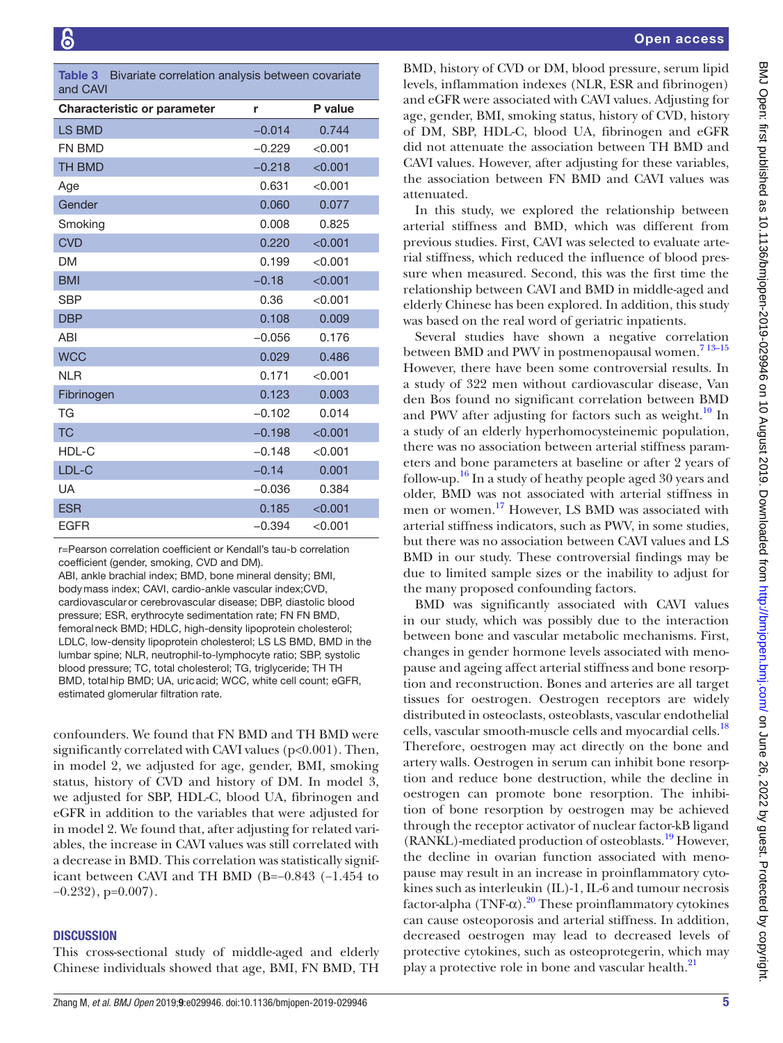<span id="page-4-0"></span>

|          | <b>Table 3</b> Bivariate correlation analysis between covariate |  |  |
|----------|-----------------------------------------------------------------|--|--|
| and CAVI |                                                                 |  |  |

| <b>Characteristic or parameter</b> | r        | P value |
|------------------------------------|----------|---------|
| <b>LS BMD</b>                      | $-0.014$ | 0.744   |
| FN BMD                             | $-0.229$ | < 0.001 |
| <b>TH BMD</b>                      | $-0.218$ | < 0.001 |
| Age                                | 0.631    | < 0.001 |
| Gender                             | 0.060    | 0.077   |
| Smoking                            | 0.008    | 0.825   |
| <b>CVD</b>                         | 0.220    | < 0.001 |
| <b>DM</b>                          | 0.199    | < 0.001 |
| <b>BMI</b>                         | $-0.18$  | < 0.001 |
| <b>SBP</b>                         | 0.36     | < 0.001 |
| <b>DBP</b>                         | 0.108    | 0.009   |
| ABI                                | $-0.056$ | 0.176   |
| <b>WCC</b>                         | 0.029    | 0.486   |
| <b>NLR</b>                         | 0.171    | < 0.001 |
| Fibrinogen                         | 0.123    | 0.003   |
| <b>TG</b>                          | $-0.102$ | 0.014   |
| <b>TC</b>                          | $-0.198$ | < 0.001 |
| HDL-C                              | $-0.148$ | < 0.001 |
| LDL-C                              | $-0.14$  | 0.001   |
| UA                                 | $-0.036$ | 0.384   |
| <b>ESR</b>                         | 0.185    | < 0.001 |
| <b>EGFR</b>                        | $-0.394$ | < 0.001 |

r=Pearson correlation coefficient or Kendall's tau-b correlation coefficient (gender, smoking, CVD and DM).

ABI, ankle brachial index; BMD, bone mineral density; BMI, bodymass index; CAVI, cardio-ankle vascular index;CVD, cardiovascularor cerebrovascular disease; DBP, diastolic blood pressure; ESR, erythrocyte sedimentation rate; FN FN BMD, femoralneck BMD; HDLC, high-density lipoprotein cholesterol; LDLC, low-density lipoprotein cholesterol; LS LS BMD, BMD in the lumbar spine; NLR, neutrophil-to-lymphocyte ratio; SBP, systolic blood pressure; TC, total cholesterol; TG, triglyceride; TH TH BMD, totalhip BMD; UA, uricacid; WCC, white cell count; eGFR, estimated glomerular filtration rate.

confounders. We found that FN BMD and TH BMD were significantly correlated with CAVI values  $(p<0.001)$ . Then, in model 2, we adjusted for age, gender, BMI, smoking status, history of CVD and history of DM. In model 3, we adjusted for SBP, HDL-C, blood UA, fibrinogen and eGFR in addition to the variables that were adjusted for in model 2. We found that, after adjusting for related variables, the increase in CAVI values was still correlated with a decrease in BMD. This correlation was statistically significant between CAVI and TH BMD (B=−0.843 (−1.454 to  $-0.232$ ), p= $0.007$ ).

## **DISCUSSION**

This cross-sectional study of middle-aged and elderly Chinese individuals showed that age, BMI, FN BMD, TH

BMD, history of CVD or DM, blood pressure, serum lipid levels, inflammation indexes (NLR, ESR and fibrinogen) and eGFR were associated with CAVI values. Adjusting for age, gender, BMI, smoking status, history of CVD, history of DM, SBP, HDL-C, blood UA, fibrinogen and eGFR did not attenuate the association between TH BMD and CAVI values. However, after adjusting for these variables, the association between FN BMD and CAVI values was attenuated.

In this study, we explored the relationship between arterial stiffness and BMD, which was different from previous studies. First, CAVI was selected to evaluate arterial stiffness, which reduced the influence of blood pressure when measured. Second, this was the first time the relationship between CAVI and BMD in middle-aged and elderly Chinese has been explored. In addition, this study was based on the real word of geriatric inpatients.

Several studies have shown a negative correlation between BMD and PWV in postmenopausal women.<sup>713–15</sup> However, there have been some controversial results. In a study of 322 men without cardiovascular disease, Van den Bos found no significant correlation between BMD and PWV after adjusting for factors such as weight.<sup>10</sup> In a study of an elderly hyperhomocysteinemic population, there was no association between arterial stiffness parameters and bone parameters at baseline or after 2 years of follow-up.<sup>16</sup> In a study of heathy people aged 30 years and older, BMD was not associated with arterial stiffness in men or women. [17](#page-7-7) However, LS BMD was associated with arterial stiffness indicators, such as PWV, in some studies, but there was no association between CAVI values and LS BMD in our study. These controversial findings may be due to limited sample sizes or the inability to adjust for the many proposed confounding factors.

BMD was significantly associated with CAVI values in our study, which was possibly due to the interaction between bone and vascular metabolic mechanisms. First, changes in gender hormone levels associated with menopause and ageing affect arterial stiffness and bone resorption and reconstruction. Bones and arteries are all target tissues for oestrogen. Oestrogen receptors are widely distributed in osteoclasts, osteoblasts, vascular endothelial cells, vascular smooth-muscle cells and myocardial cells.[18](#page-7-8) Therefore, oestrogen may act directly on the bone and artery walls. Oestrogen in serum can inhibit bone resorption and reduce bone destruction, while the decline in oestrogen can promote bone resorption. The inhibition of bone resorption by oestrogen may be achieved through the receptor activator of nuclear factor-kB ligand (RANKL)-mediated production of osteoblasts.<sup>19</sup> However, the decline in ovarian function associated with menopause may result in an increase in proinflammatory cytokines such as interleukin (IL)-1, IL-6 and tumour necrosis factor-alpha (TNF- $\alpha$ ).<sup>[20](#page-7-10)</sup> These proinflammatory cytokines can cause osteoporosis and arterial stiffness. In addition, decreased oestrogen may lead to decreased levels of protective cytokines, such as osteoprotegerin, which may play a protective role in bone and vascular health.<sup>21</sup>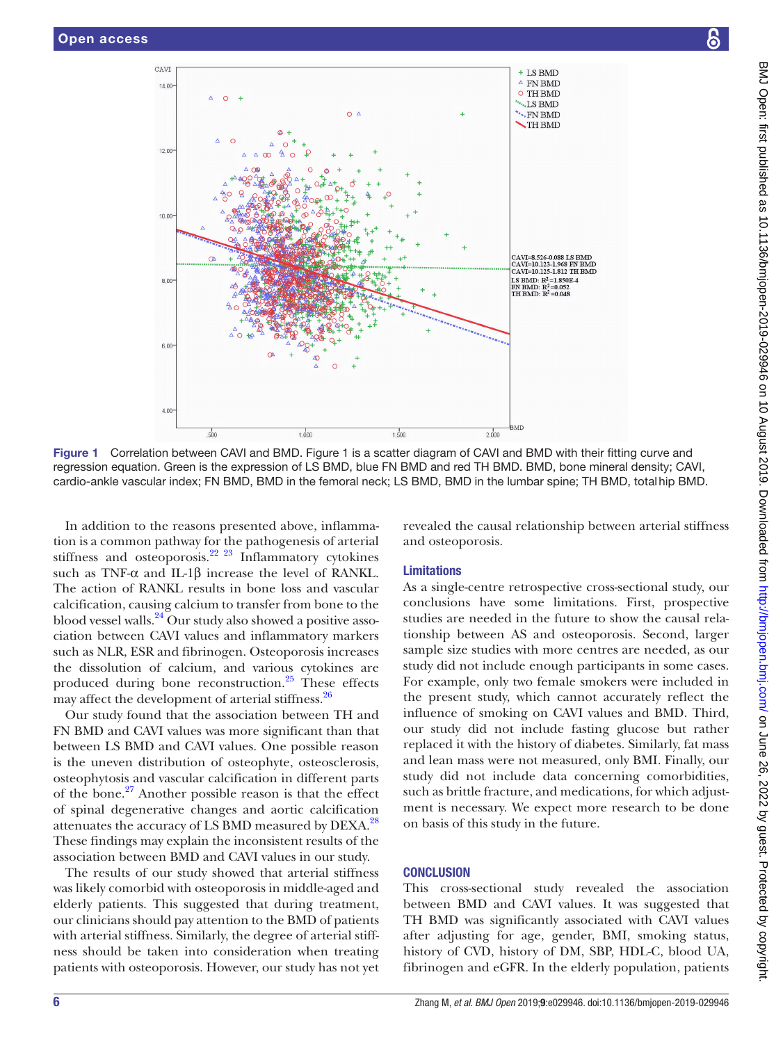

Figure 1 Correlation between CAVI and BMD. Figure 1 is a scatter diagram of CAVI and BMD with their fitting curve and regression equation. Green is the expression of LS BMD, blue FN BMD and red TH BMD. BMD, bone mineral density; CAVI, cardio-ankle vascular index; FN BMD, BMD in the femoral neck; LS BMD, BMD in the lumbar spine; TH BMD, totalhip BMD.

In addition to the reasons presented above, inflammation is a common pathway for the pathogenesis of arterial stiffness and osteoporosis.<sup>22</sup>  $^{23}$  Inflammatory cytokines such as TNF-α and IL-1β increase the level of RANKL. The action of RANKL results in bone loss and vascular calcification, causing calcium to transfer from bone to the blood vessel walls. $^{24}$  Our study also showed a positive association between CAVI values and inflammatory markers such as NLR, ESR and fibrinogen. Osteoporosis increases the dissolution of calcium, and various cytokines are produced during bone reconstruction. $^{25}$  These effects may affect the development of arterial stiffness.<sup>[26](#page-7-15)</sup>

Our study found that the association between TH and FN BMD and CAVI values was more significant than that between LS BMD and CAVI values. One possible reason is the uneven distribution of osteophyte, osteosclerosis, osteophytosis and vascular calcification in different parts of the bone.[27](#page-7-16) Another possible reason is that the effect of spinal degenerative changes and aortic calcification attenuates the accuracy of LS BMD measured by DEXA.<sup>28</sup> These findings may explain the inconsistent results of the association between BMD and CAVI values in our study.

The results of our study showed that arterial stiffness was likely comorbid with osteoporosis in middle-aged and elderly patients. This suggested that during treatment, our clinicians should pay attention to the BMD of patients with arterial stiffness. Similarly, the degree of arterial stiffness should be taken into consideration when treating patients with osteoporosis. However, our study has not yet

<span id="page-5-0"></span>revealed the causal relationship between arterial stiffness and osteoporosis.

## Limitations

As a single-centre retrospective cross-sectional study, our conclusions have some limitations. First, prospective studies are needed in the future to show the causal relationship between AS and osteoporosis. Second, larger sample size studies with more centres are needed, as our study did not include enough participants in some cases. For example, only two female smokers were included in the present study, which cannot accurately reflect the influence of smoking on CAVI values and BMD. Third, our study did not include fasting glucose but rather replaced it with the history of diabetes. Similarly, fat mass and lean mass were not measured, only BMI. Finally, our study did not include data concerning comorbidities, such as brittle fracture, and medications, for which adjustment is necessary. We expect more research to be done on basis of this study in the future.

#### **CONCLUSION**

This cross-sectional study revealed the association between BMD and CAVI values. It was suggested that TH BMD was significantly associated with CAVI values after adjusting for age, gender, BMI, smoking status, history of CVD, history of DM, SBP, HDL-C, blood UA, fibrinogen and eGFR. In the elderly population, patients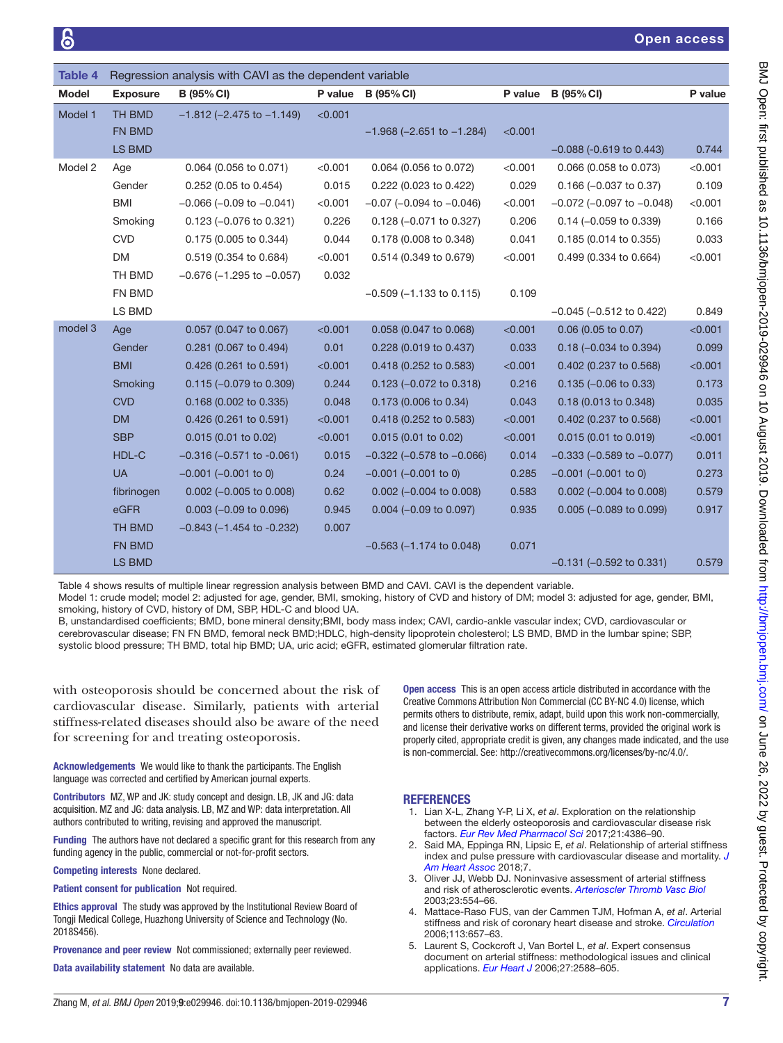<span id="page-6-4"></span>

| Table 4 | Regression analysis with CAVI as the dependent variable |                                   |         |                                   |         |                                   |         |
|---------|---------------------------------------------------------|-----------------------------------|---------|-----------------------------------|---------|-----------------------------------|---------|
| Model   | <b>Exposure</b>                                         | <b>B</b> (95% CI)                 | P value | <b>B</b> (95% CI)                 | P value | <b>B</b> (95% CI)                 | P value |
| Model 1 | TH BMD                                                  | $-1.812$ (-2.475 to $-1.149$ )    | < 0.001 |                                   |         |                                   |         |
|         | FN BMD                                                  |                                   |         | $-1.968$ ( $-2.651$ to $-1.284$ ) | < 0.001 |                                   |         |
|         | LS BMD                                                  |                                   |         |                                   |         | $-0.088$ (-0.619 to 0.443)        | 0.744   |
| Model 2 | Age                                                     | 0.064 (0.056 to 0.071)            | < 0.001 | 0.064 (0.056 to 0.072)            | < 0.001 | 0.066 (0.058 to 0.073)            | < 0.001 |
|         | Gender                                                  | 0.252 (0.05 to 0.454)             | 0.015   | 0.222 (0.023 to 0.422)            | 0.029   | $0.166$ (-0.037 to 0.37)          | 0.109   |
|         | <b>BMI</b>                                              | $-0.066$ ( $-0.09$ to $-0.041$ )  | < 0.001 | $-0.07$ ( $-0.094$ to $-0.046$ )  | < 0.001 | $-0.072$ ( $-0.097$ to $-0.048$ ) | < 0.001 |
|         | Smoking                                                 | $0.123$ (-0.076 to 0.321)         | 0.226   | 0.128 (-0.071 to 0.327)           | 0.206   | $0.14$ (-0.059 to 0.339)          | 0.166   |
|         | <b>CVD</b>                                              | 0.175 (0.005 to 0.344)            | 0.044   | 0.178 (0.008 to 0.348)            | 0.041   | 0.185 (0.014 to 0.355)            | 0.033   |
|         | <b>DM</b>                                               | 0.519 (0.354 to 0.684)            | < 0.001 | 0.514 (0.349 to 0.679)            | < 0.001 | 0.499 (0.334 to 0.664)            | < 0.001 |
|         | TH BMD                                                  | $-0.676$ ( $-1.295$ to $-0.057$ ) | 0.032   |                                   |         |                                   |         |
|         | FN BMD                                                  |                                   |         | $-0.509$ ( $-1.133$ to 0.115)     | 0.109   |                                   |         |
|         | LS BMD                                                  |                                   |         |                                   |         | $-0.045$ ( $-0.512$ to 0.422)     | 0.849   |
| model 3 | Age                                                     | 0.057 (0.047 to 0.067)            | < 0.001 | 0.058 (0.047 to 0.068)            | < 0.001 | $0.06$ (0.05 to 0.07)             | < 0.001 |
|         | Gender                                                  | 0.281 (0.067 to 0.494)            | 0.01    | 0.228 (0.019 to 0.437)            | 0.033   | $0.18$ (-0.034 to 0.394)          | 0.099   |
|         | <b>BMI</b>                                              | 0.426 (0.261 to 0.591)            | < 0.001 | 0.418 (0.252 to 0.583)            | < 0.001 | 0.402 (0.237 to 0.568)            | < 0.001 |
|         | Smoking                                                 | $0.115 (-0.079)$ to 0.309)        | 0.244   | $0.123 (-0.072$ to $0.318)$       | 0.216   | $0.135 (-0.06 \text{ to } 0.33)$  | 0.173   |
|         | <b>CVD</b>                                              | 0.168 (0.002 to 0.335)            | 0.048   | 0.173 (0.006 to 0.34)             | 0.043   | 0.18 (0.013 to 0.348)             | 0.035   |
|         | <b>DM</b>                                               | 0.426 (0.261 to 0.591)            | < 0.001 | 0.418 (0.252 to 0.583)            | < 0.001 | 0.402 (0.237 to 0.568)            | < 0.001 |
|         | <b>SBP</b>                                              | $0.015(0.01)$ to $0.02$ )         | < 0.001 | $0.015(0.01)$ to $0.02$ )         | < 0.001 | 0.015 (0.01 to 0.019)             | < 0.001 |
|         | HDL-C                                                   | $-0.316$ ( $-0.571$ to $-0.061$ ) | 0.015   | $-0.322$ ( $-0.578$ to $-0.066$ ) | 0.014   | $-0.333$ ( $-0.589$ to $-0.077$ ) | 0.011   |
|         | <b>UA</b>                                               | $-0.001$ $(-0.001$ to 0)          | 0.24    | $-0.001$ $(-0.001$ to 0)          | 0.285   | $-0.001$ $(-0.001$ to 0)          | 0.273   |
|         | fibrinogen                                              | $0.002$ (-0.005 to 0.008)         | 0.62    | $0.002$ (-0.004 to 0.008)         | 0.583   | $0.002$ (-0.004 to 0.008)         | 0.579   |
|         | eGFR                                                    | $0.003$ (-0.09 to 0.096)          | 0.945   | $0.004 (-0.09 to 0.097)$          | 0.935   | $0.005$ (-0.089 to 0.099)         | 0.917   |
|         | TH BMD                                                  | $-0.843$ ( $-1.454$ to $-0.232$ ) | 0.007   |                                   |         |                                   |         |
|         | FN BMD                                                  |                                   |         | $-0.563$ ( $-1.174$ to 0.048)     | 0.071   |                                   |         |
|         | LS BMD                                                  |                                   |         |                                   |         | $-0.131$ $(-0.592$ to 0.331)      | 0.579   |

Table 4 shows results of multiple linear regression analysis between BMD and CAVI. CAVI is the dependent variable.

Model 1: crude model; model 2: adjusted for age, gender, BMI, smoking, history of CVD and history of DM; model 3: adjusted for age, gender, BMI, smoking, history of CVD, history of DM, SBP, HDL-C and blood UA.

B, unstandardised coefficients; BMD, bone mineral density;BMI, body mass index; CAVI, cardio-ankle vascular index; CVD, cardiovascular or cerebrovascular disease; FN FN BMD, femoral neck BMD;HDLC, high-density lipoprotein cholesterol; LS BMD, BMD in the lumbar spine; SBP, systolic blood pressure; TH BMD, total hip BMD; UA, uric acid; eGFR, estimated glomerular filtration rate.

with osteoporosis should be concerned about the risk of cardiovascular disease. Similarly, patients with arterial stiffness-related diseases should also be aware of the need for screening for and treating osteoporosis.

Acknowledgements We would like to thank the participants. The English language was corrected and certified by American journal experts.

Contributors MZ, WP and JK: study concept and design. LB, JK and JG: data acquisition. MZ and JG: data analysis. LB, MZ and WP: data interpretation. All authors contributed to writing, revising and approved the manuscript.

Funding The authors have not declared a specific grant for this research from any funding agency in the public, commercial or not-for-profit sectors.

Competing interests None declared.

Patient consent for publication Not required.

Ethics approval The study was approved by the Institutional Review Board of Tongji Medical College, Huazhong University of Science and Technology (No. 2018S456).

Provenance and peer review Not commissioned; externally peer reviewed. Data availability statement No data are available.

Open access This is an open access article distributed in accordance with the Creative Commons Attribution Non Commercial (CC BY-NC 4.0) license, which permits others to distribute, remix, adapt, build upon this work non-commercially, and license their derivative works on different terms, provided the original work is properly cited, appropriate credit is given, any changes made indicated, and the use is non-commercial. See: [http://creativecommons.org/licenses/by-nc/4.0/.](http://creativecommons.org/licenses/by-nc/4.0/)

#### **REFERENCES**

- <span id="page-6-0"></span>1. Lian X-L, Zhang Y-P, Li X, *et al*. Exploration on the relationship between the elderly osteoporosis and cardiovascular disease risk factors. *[Eur Rev Med Pharmacol Sci](http://www.ncbi.nlm.nih.gov/pubmed/29077156)* 2017;21:4386–90.
- <span id="page-6-1"></span>2. Said MA, Eppinga RN, Lipsic E, *et al*. Relationship of arterial stiffness index and pulse pressure with cardiovascular disease and mortality. *[J](http://dx.doi.org/10.1161/JAHA.117.007621)  [Am Heart Assoc](http://dx.doi.org/10.1161/JAHA.117.007621)* 2018;7.
- <span id="page-6-2"></span>3. Oliver JJ, Webb DJ. Noninvasive assessment of arterial stiffness and risk of atherosclerotic events. *[Arterioscler Thromb Vasc Biol](http://dx.doi.org/10.1161/01.ATV.0000060460.52916.D6)* 2003;23:554–66.
- 4. Mattace-Raso FUS, van der Cammen TJM, Hofman A, *et al*. Arterial stiffness and risk of coronary heart disease and stroke. *[Circulation](http://dx.doi.org/10.1161/CIRCULATIONAHA.105.555235)* 2006;113:657–63.
- <span id="page-6-3"></span>5. Laurent S, Cockcroft J, Van Bortel L, *et al*. Expert consensus document on arterial stiffness: methodological issues and clinical applications. *[Eur Heart J](http://dx.doi.org/10.1093/eurheartj/ehl254)* 2006;27:2588–605.